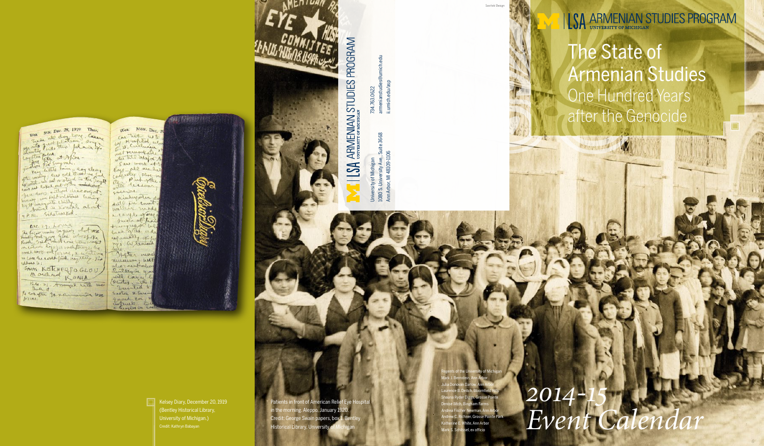SUN. DEC. 28, 1919 Ther. We SUM. DEC. 28, 1919 Ther.<br>Train all day long County.<br>The first problem of the window.<br>Contract problem at African -<br>Contract problem and the county.<br>The water first method is the field.<br>The water is the county of the cou

can not content the dree out of few doors williams hung Survey we kept orleans hung 9 P.M. Sidetracked.

Are. 29. Louia Are. 29. Love of other west iddress to : SNAS KETCHERTOGLOU

Bee. 31. Amangal with me Bud, it to constant graculturation was. brue

Wea. Mon. DEC. 2 we have wto 10. Cullusia wetnesselle loys - all are be<br>calcular sloe assion.

Kinderporten d ditto ju count waller unde a confleating twee of hair<br>twee just who rys. afternoon

mineum; sent who ment about with Laren Pletos - with Turted Sarton & Sara quant con



Patients in front of American Relief Eye Hospit in the morning. Aleppo, January 1920. Credit: George Swain papers, box 1, Bentley Historical Library, University of

The State of Armenian Studies One Hundred Years after the Genocide

**SALL AND THE** 

Kelsey Diary, December 20, 1919 (Bentley Historical Library, University of Michigan.) Credit: Kathryn Babayan

*2014-15*   $Event$ Calend

1080 S. University Ave., Suite 3668  $rac{1}{\sqrt{2}}$ Ann Arbor, MI 48109-1106 Ann Arbor, MI 48109-1106 f Michigan<br>resity Ave., S University of Michigan University of M<br>1080 S. Univer  $\sigma$ Ŝ

3668

734.763.0622

armenianstudies@umich.edu

734,763.0622<br>armenianstudies@<br>ii.umich.edu/asp

ii.umich.edu/asp

ISA ARMENIAN STUDIES PROGRAM

Regents of the University of Michigan Mark J. Bernstein, Ann Arbor Julia Donovan Darlow, Ann Arbor Laurence B. Deitch, Bloomfield Hills Shauna Ryder Diggs, Grosse Pointe Denise Ilitch, Bingham Farms Andrea Fischer Newman, Ann Arbor chner, Grosse Pointe Par White, Ann Arbor Mark S. Schlissel, ex officio



Savitski Design